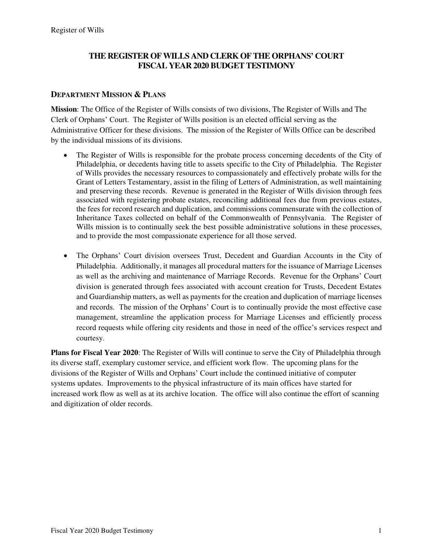### **THE REGISTER OF WILLS AND CLERK OF THE ORPHANS' COURT FISCAL YEAR 2020 BUDGET TESTIMONY**

#### **DEPARTMENT MISSION & PLANS**

**Mission**: The Office of the Register of Wills consists of two divisions, The Register of Wills and The Clerk of Orphans' Court. The Register of Wills position is an elected official serving as the Administrative Officer for these divisions. The mission of the Register of Wills Office can be described by the individual missions of its divisions.

- The Register of Wills is responsible for the probate process concerning decedents of the City of Philadelphia, or decedents having title to assets specific to the City of Philadelphia. The Register of Wills provides the necessary resources to compassionately and effectively probate wills for the Grant of Letters Testamentary, assist in the filing of Letters of Administration, as well maintaining and preserving these records. Revenue is generated in the Register of Wills division through fees associated with registering probate estates, reconciling additional fees due from previous estates, the fees for record research and duplication, and commissions commensurate with the collection of Inheritance Taxes collected on behalf of the Commonwealth of Pennsylvania. The Register of Wills mission is to continually seek the best possible administrative solutions in these processes, and to provide the most compassionate experience for all those served.
- The Orphans' Court division oversees Trust, Decedent and Guardian Accounts in the City of Philadelphia. Additionally, it manages all procedural matters for the issuance of Marriage Licenses as well as the archiving and maintenance of Marriage Records. Revenue for the Orphans' Court division is generated through fees associated with account creation for Trusts, Decedent Estates and Guardianship matters, as well as payments for the creation and duplication of marriage licenses and records. The mission of the Orphans' Court is to continually provide the most effective case management, streamline the application process for Marriage Licenses and efficiently process record requests while offering city residents and those in need of the office's services respect and courtesy.

**Plans for Fiscal Year 2020**: The Register of Wills will continue to serve the City of Philadelphia through its diverse staff, exemplary customer service, and efficient work flow. The upcoming plans for the divisions of the Register of Wills and Orphans' Court include the continued initiative of computer systems updates. Improvements to the physical infrastructure of its main offices have started for increased work flow as well as at its archive location. The office will also continue the effort of scanning and digitization of older records.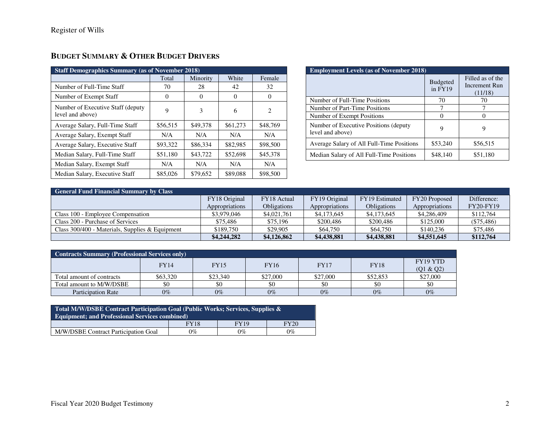| <b>Staff Demographics Summary (as of November 2018)</b> |          |          |          |                |  |  |
|---------------------------------------------------------|----------|----------|----------|----------------|--|--|
|                                                         | Total    | Minority | White    | Female         |  |  |
| Number of Full-Time Staff                               | 70       | 28       | 42       | 32             |  |  |
| Number of Exempt Staff                                  | $\Omega$ | $\Omega$ | $\Omega$ | $\theta$       |  |  |
| Number of Executive Staff (deputy)<br>level and above)  | 9        | 3        | 6        | $\mathfrak{D}$ |  |  |
| Average Salary, Full-Time Staff                         | \$56,515 | \$49,378 | \$61,273 | \$48,769       |  |  |
| Average Salary, Exempt Staff                            | N/A      | N/A      | N/A      | N/A            |  |  |
| Average Salary, Executive Staff                         | \$93,322 | \$86,334 | \$82,985 | \$98,500       |  |  |
| Median Salary, Full-Time Staff                          | \$51,180 | \$43,722 | \$52,698 | \$45,378       |  |  |
| Median Salary, Exempt Staff                             | N/A      | N/A      | N/A      | N/A            |  |  |
| Median Salary, Executive Staff                          | \$85,026 | \$79,652 | \$89,088 | \$98,500       |  |  |

## **BUDGET SUMMARY & OTHER BUDGET DRIVERS**

| <b>Employment Levels (as of November 2018)</b>             |                            |                                                     |  |  |  |
|------------------------------------------------------------|----------------------------|-----------------------------------------------------|--|--|--|
|                                                            | <b>Budgeted</b><br>in FY19 | Filled as of the<br><b>Increment Run</b><br>(11/18) |  |  |  |
| Number of Full-Time Positions                              | 70                         | 70                                                  |  |  |  |
| Number of Part-Time Positions                              |                            |                                                     |  |  |  |
| Number of Exempt Positions                                 | 0                          |                                                     |  |  |  |
| Number of Executive Positions (deputy)<br>level and above) | 9                          | 9                                                   |  |  |  |
| Average Salary of All Full-Time Positions                  | \$53,240                   | \$56,515                                            |  |  |  |
| Median Salary of All Full-Time Positions                   | \$48,140                   | \$51,180                                            |  |  |  |

| <b>General Fund Financial Summary by Class</b>  |                |                    |                |                    |                |                  |  |  |
|-------------------------------------------------|----------------|--------------------|----------------|--------------------|----------------|------------------|--|--|
|                                                 | FY18 Original  | FY18 Actual        | FY19 Original  | FY19 Estimated     | FY20 Proposed  | Difference:      |  |  |
|                                                 | Appropriations | <b>Obligations</b> | Appropriations | <b>Obligations</b> | Appropriations | <b>FY20-FY19</b> |  |  |
| Class 100 - Employee Compensation               | \$3,979,046    | \$4,021,761        | \$4,173,645    | \$4,173,645        | \$4,286,409    | \$112,764        |  |  |
| Class 200 - Purchase of Services                | \$75,486       | \$75,196           | \$200,486      | \$200,486          | \$125,000      | $(\$75,486)$     |  |  |
| Class 300/400 - Materials, Supplies & Equipment | \$189,750      | \$29,905           | \$64,750       | \$64,750           | \$140.236      | \$75,486         |  |  |
|                                                 | \$4,244,282    | \$4,126,862        | \$4,438,881    | \$4,438,881        | \$4,551,645    | \$112,764        |  |  |

| <b>Contracts Summary (Professional Services only)</b> |             |             |             |             |             |                       |  |
|-------------------------------------------------------|-------------|-------------|-------------|-------------|-------------|-----------------------|--|
|                                                       | <b>FY14</b> | <b>FY15</b> | <b>FY16</b> | <b>FY17</b> | <b>FY18</b> | FY19 YTD<br>(01 & 02) |  |
| Total amount of contracts                             | \$63,320    | \$23,340    | \$27,000    | \$27,000    | \$52,853    | \$27,000              |  |
| Total amount to M/W/DSBE                              | \$0         | \$0         | \$0         | \$0         | \$0         | \$0                   |  |
| <b>Participation Rate</b>                             | $0\%$       | $0\%$       | $0\%$       | $0\%$       | $0\%$       | $0\%$                 |  |

| Total M/W/DSBE Contract Participation Goal (Public Works; Services, Supplies &<br><b>Equipment; and Professional Services combined)</b> |             |             |             |  |  |  |
|-----------------------------------------------------------------------------------------------------------------------------------------|-------------|-------------|-------------|--|--|--|
|                                                                                                                                         | <b>FY18</b> | <b>FY19</b> | <b>FY20</b> |  |  |  |
| M/W/DSBE Contract Participation Goal                                                                                                    | $0\%$       | $0\%$       | $0\%$       |  |  |  |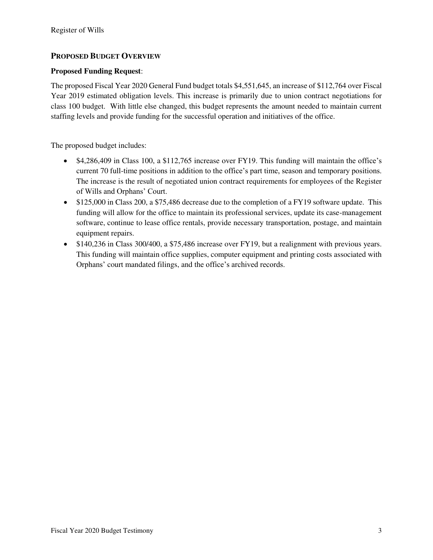### **PROPOSED BUDGET OVERVIEW**

#### **Proposed Funding Request**:

The proposed Fiscal Year 2020 General Fund budget totals \$4,551,645, an increase of \$112,764 over Fiscal Year 2019 estimated obligation levels. This increase is primarily due to union contract negotiations for class 100 budget. With little else changed, this budget represents the amount needed to maintain current staffing levels and provide funding for the successful operation and initiatives of the office.

The proposed budget includes:

- \$4,286,409 in Class 100, a \$112,765 increase over FY19. This funding will maintain the office's current 70 full-time positions in addition to the office's part time, season and temporary positions. The increase is the result of negotiated union contract requirements for employees of the Register of Wills and Orphans' Court.
- \$125,000 in Class 200, a \$75,486 decrease due to the completion of a FY19 software update. This funding will allow for the office to maintain its professional services, update its case-management software, continue to lease office rentals, provide necessary transportation, postage, and maintain equipment repairs.
- \$140,236 in Class 300/400, a \$75,486 increase over FY19, but a realignment with previous years. This funding will maintain office supplies, computer equipment and printing costs associated with Orphans' court mandated filings, and the office's archived records.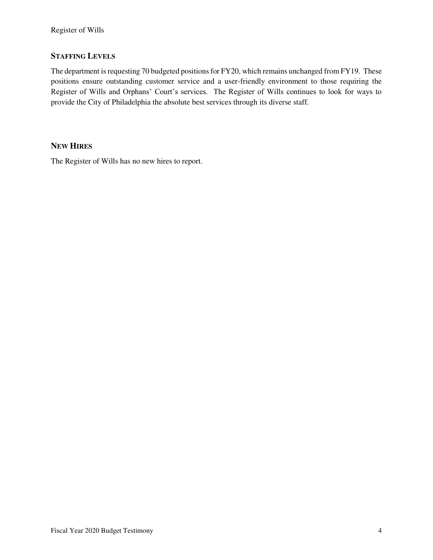### **STAFFING LEVELS**

The department is requesting 70 budgeted positions for FY20, which remains unchanged from FY19. These positions ensure outstanding customer service and a user-friendly environment to those requiring the Register of Wills and Orphans' Court's services. The Register of Wills continues to look for ways to provide the City of Philadelphia the absolute best services through its diverse staff.

#### **NEW HIRES**

The Register of Wills has no new hires to report.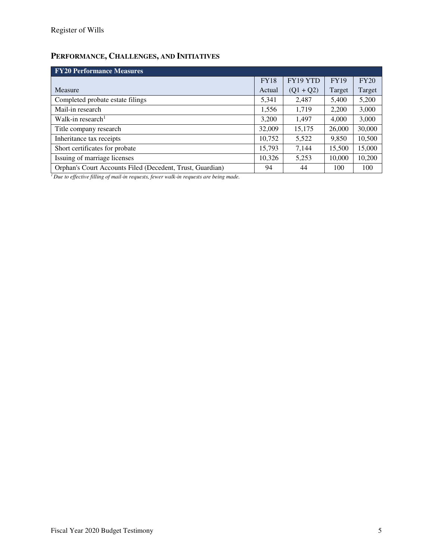# **PERFORMANCE, CHALLENGES, AND INITIATIVES**

| <b>FY20 Performance Measures</b>                          |             |             |             |        |  |  |  |
|-----------------------------------------------------------|-------------|-------------|-------------|--------|--|--|--|
|                                                           | <b>FY18</b> | FY19 YTD    | <b>FY19</b> | FY20   |  |  |  |
| Measure                                                   | Actual      | $(Q1 + Q2)$ | Target      | Target |  |  |  |
| Completed probate estate filings                          | 5,341       | 2,487       | 5,400       | 5,200  |  |  |  |
| Mail-in research                                          | 1,556       | 1.719       | 2,200       | 3,000  |  |  |  |
| Walk-in research <sup>1</sup>                             | 3,200       | 1,497       | 4,000       | 3,000  |  |  |  |
| Title company research                                    | 32,009      | 15,175      | 26,000      | 30,000 |  |  |  |
| Inheritance tax receipts                                  | 10,752      | 5,522       | 9,850       | 10,500 |  |  |  |
| Short certificates for probate                            | 15,793      | 7,144       | 15,500      | 15,000 |  |  |  |
| Issuing of marriage licenses                              | 10,326      | 5,253       | 10,000      | 10,200 |  |  |  |
| Orphan's Court Accounts Filed (Decedent, Trust, Guardian) | 94          | 44          | 100         | 100    |  |  |  |

*1 Due to effective filling of mail-in requests, fewer walk-in requests are being made.*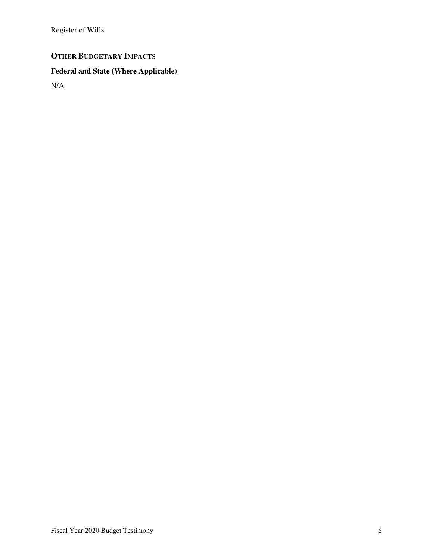Register of Wills

# **OTHER BUDGETARY IMPACTS**

### **Federal and State (Where Applicable)**

N/A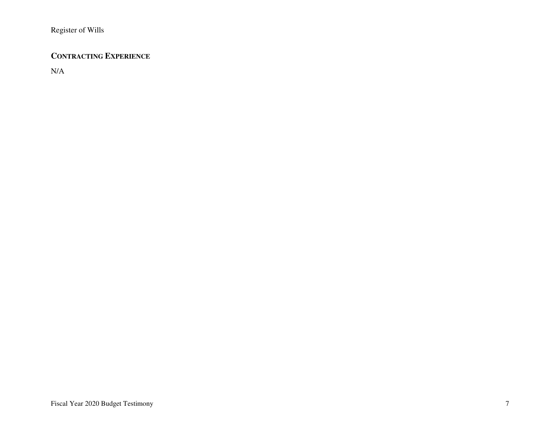### **CONTRACTING EXPERIENCE**

N/A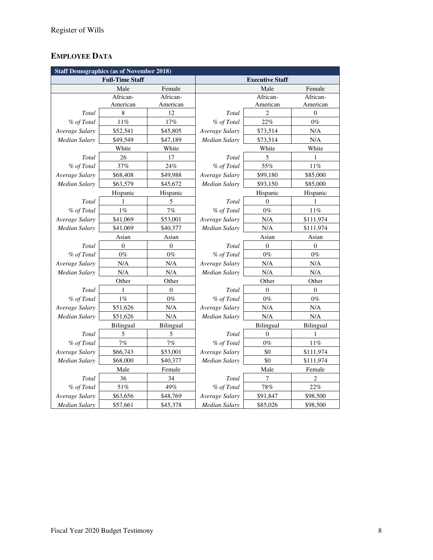## **EMPLOYEE DATA**

| <b>Staff Demographics (as of November 2018)</b> |                  |                  |                        |                |                  |  |
|-------------------------------------------------|------------------|------------------|------------------------|----------------|------------------|--|
| <b>Full-Time Staff</b>                          |                  |                  | <b>Executive Staff</b> |                |                  |  |
|                                                 | Male             | Female           |                        | Male           | Female           |  |
|                                                 | African-         | African-         |                        | African-       | African-         |  |
|                                                 | American         | American         |                        | American       | American         |  |
| Total                                           | 8                | 12               | Total                  | $\overline{c}$ | $\boldsymbol{0}$ |  |
| % of Total                                      | 11%              | 17%              | % of Total             | 22%            | $0\%$            |  |
| Average Salary                                  | \$52,541         | \$45,805         | Average Salary         | \$73,514       | N/A              |  |
| Median Salary                                   | \$49,549         | \$47,189         | <b>Median Salary</b>   | \$73,514       | N/A              |  |
|                                                 | White            | White            |                        | White          | White            |  |
| Total                                           | 26               | 17               | Total                  | 5              | 1                |  |
| % of Total                                      | 37%              | 24%              | % of Total             | 55%            | 11%              |  |
| Average Salary                                  | \$68,408         | \$49,988         | Average Salary         | \$99,180       | \$85,000         |  |
| Median Salary                                   | \$63,579         | \$45,672         | Median Salary          | \$93,150       | \$85,000         |  |
|                                                 | Hispanic         | Hispanic         |                        | Hispanic       | Hispanic         |  |
| Total                                           | 1                | 5                | Total                  | $\theta$       | 1                |  |
| % of Total                                      | $1\%$            | 7%               | % of Total             | $0\%$          | $11\%$           |  |
| Average Salary                                  | \$41,069         | \$53,001         | Average Salary         | N/A            | \$111,974        |  |
| Median Salary                                   | \$41,069         | \$40,377         | <b>Median Salary</b>   | N/A            | \$111,974        |  |
|                                                 | Asian            | Asian            | Asian                  |                | Asian            |  |
| Total                                           | $\mathbf{0}$     | $\boldsymbol{0}$ | Total                  | $\mathbf{0}$   | $\mathbf{0}$     |  |
| % of Total                                      | $0\%$            | $0\%$            | % of Total             | $0\%$          | $0\%$            |  |
| Average Salary                                  | N/A              | N/A              | Average Salary         | N/A            | N/A              |  |
| Median Salary                                   | N/A              | N/A              | <b>Median Salary</b>   | N/A            | N/A              |  |
|                                                 | Other            | Other            |                        | Other          | Other            |  |
| Total                                           | 1                | $\boldsymbol{0}$ | Total                  | $\theta$       | $\boldsymbol{0}$ |  |
| % of Total                                      | 1%               | $0\%$            | % of Total             | $0\%$          | $0\%$            |  |
| Average Salary                                  | \$51,626         | N/A              | Average Salary         | N/A            | N/A              |  |
| Median Salary                                   | \$51,626         | N/A              | Median Salary          | N/A            | N/A              |  |
|                                                 | <b>Bilingual</b> | Bilingual        |                        | Bilingual      | Bilingual        |  |
| Total                                           | 5                | 5                | Total                  | $\theta$       | 1                |  |
| % of Total                                      | 7%               | 7%               | % of Total             | $0\%$          | $11\%$           |  |
| Average Salary                                  | \$66,743         | \$53,001         | Average Salary         | \$0            | \$111,974        |  |
| Median Salary                                   | \$68,000         | \$40,377         | <b>Median Salary</b>   | \$0            | \$111,974        |  |
|                                                 | Male             | Female           |                        | Male           | Female           |  |
| Total                                           | 36               | 34               | Total                  | 7              | 2                |  |
| % of Total                                      | 51%              | 49%              | % of Total             | $78\%$         | 22%              |  |
| Average Salary                                  | \$63,656         | \$48,769         | Average Salary         | \$91,847       | \$98,500         |  |
| <b>Median Salary</b>                            | \$57,661         | \$45,378         | <b>Median Salary</b>   | \$85,026       | \$98,500         |  |